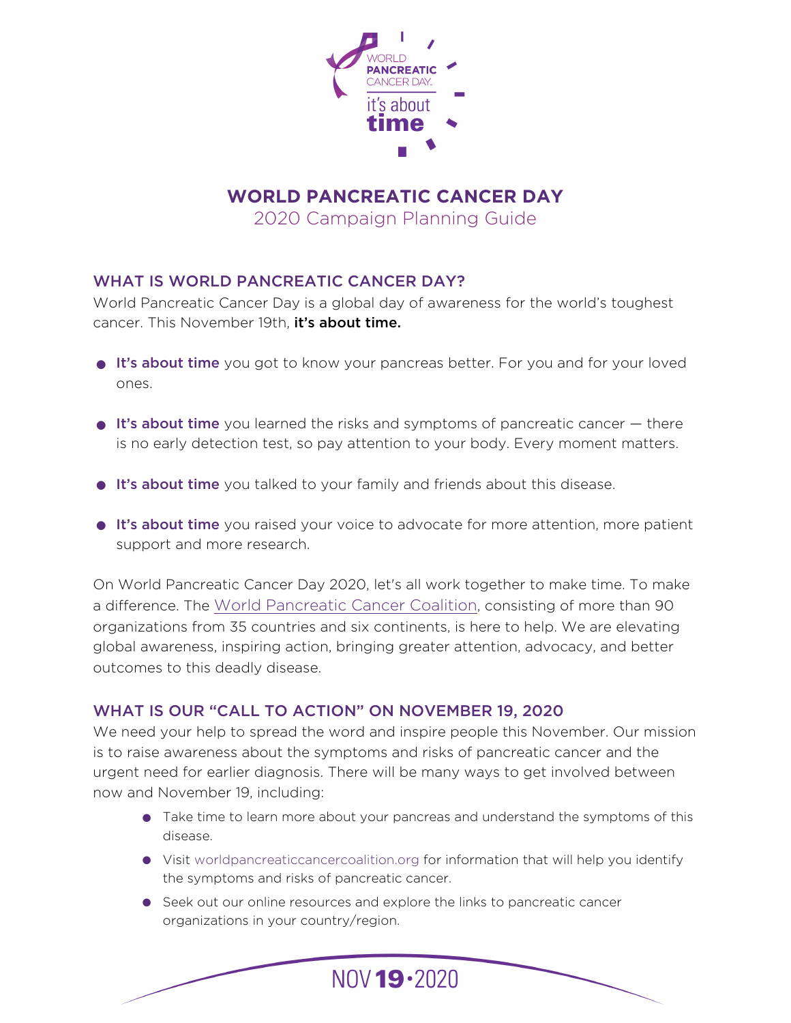

**WORLD PANCREATIC CANCER DAY**  2020 Campaign Planning Guide

### WHAT IS WORLD PANCREATIC CANCER DAY?

World Pancreatic Cancer Day is a global day of awareness for the world's toughest cancer. This November 19th, it's about time.

- It's about time you got to know your pancreas better. For you and for your loved ones.
- $\bullet$  It's about time you learned the risks and symptoms of pancreatic cancer  $-$  there is no early detection test, so pay attention to your body. Every moment matters.
- **It's about time** you talked to your family and friends about this disease.
- **It's about time** you raised your voice to advocate for more attention, more patient support and more research.

On World Pancreatic Cancer Day 2020, let's all work together to make time. To make a difference. The [World Pancreatic Cancer Coalition,](http://www.worldpancreaticcancercoalition.org) consisting of more than 90 organizations from 35 countries and six continents, is here to help. We are elevating global awareness, inspiring action, bringing greater attention, advocacy, and better outcomes to this deadly disease.

### WHAT IS OUR "CALL TO ACTION" ON NOVEMBER 19, 2020

We need your help to spread the word and inspire people this November. Our mission is to raise awareness about the symptoms and risks of pancreatic cancer and the urgent need for earlier diagnosis. There will be many ways to get involved between now and November 19, including:

- Take time to learn more about your pancreas and understand the symptoms of this disease.
- Visit worldpancreaticcancercoalition.org for information that will help you identify the symptoms and risks of pancreatic cancer.
- Seek out our online resources and explore the links to pancreatic cancer organizations in your country/region.

NOV 19 . 2020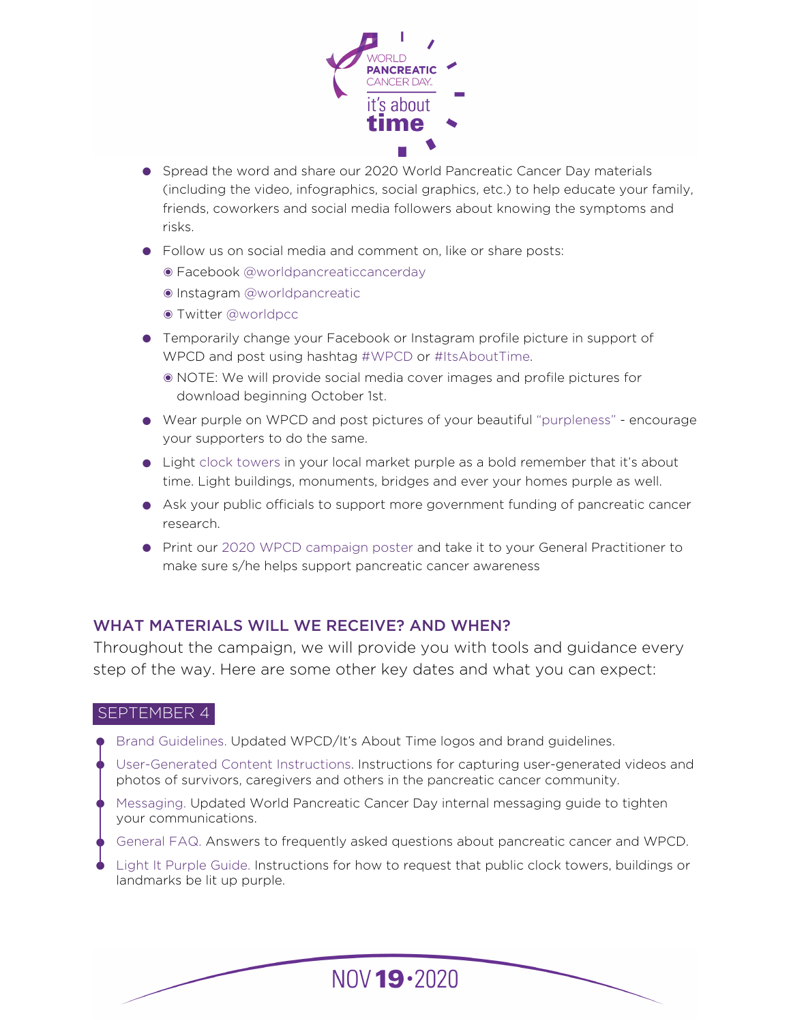

- Spread the word and share our 2020 World Pancreatic Cancer Day materials (including the video, infographics, social graphics, etc.) to help educate your family, friends, coworkers and social media followers about knowing the symptoms and risks.
- Follow us on social media and comment on, like or share posts:
	- ๏ Facebook @worldpancreaticcancerday
	- ๏ Instagram @worldpancreatic
	- ๏ Twitter @worldpcc
- Temporarily change your Facebook or Instagram profile picture in support of WPCD and post using hashtag #WPCD or #ItsAboutTime.
	- ๏ NOTE: We will provide social media cover images and profile pictures for download beginning October 1st.
- Wear purple on WPCD and post pictures of your beautiful "purpleness" encourage your supporters to do the same.
- Light clock towers in your local market purple as a bold remember that it's about time. Light buildings, monuments, bridges and ever your homes purple as well.
- Ask your public officials to support more government funding of pancreatic cancer research.
- Print our 2020 WPCD campaign poster and take it to your General Practitioner to make sure s/he helps support pancreatic cancer awareness

# WHAT MATERIALS WILL WE RECEIVE? AND WHEN?

Throughout the campaign, we will provide you with tools and guidance every step of the way. Here are some other key dates and what you can expect:

### SEPTEMBER 4

- Brand Guidelines. Updated WPCD/It's About Time logos and brand guidelines.
- User-Generated Content Instructions. Instructions for capturing user-generated videos and photos of survivors, caregivers and others in the pancreatic cancer community.
- Messaging. Updated World Pancreatic Cancer Day internal messaging guide to tighten your communications.
- General FAQ. Answers to frequently asked questions about pancreatic cancer and WPCD.
- Light It Purple Guide. Instructions for how to request that public clock towers, buildings or landmarks be lit up purple.

 $NOV 19.2020$